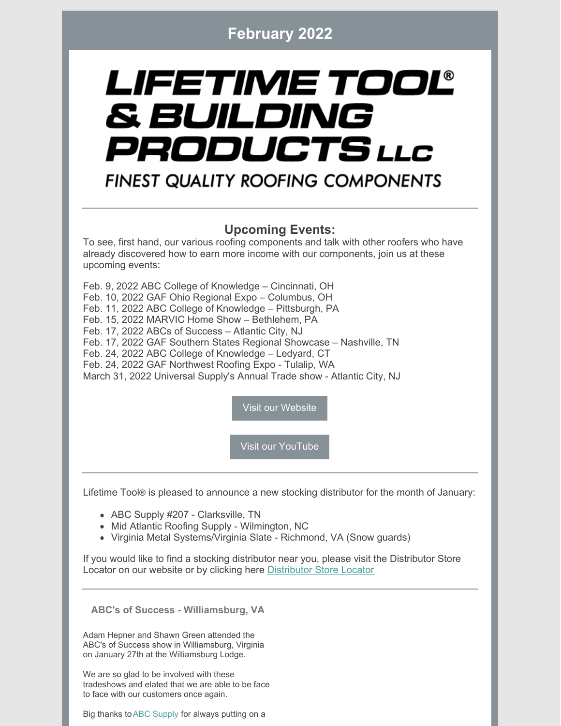## **February 2022**

# LIFETIME TOOL® & BUILDING PRODUCTS LLC

# **FINEST QUALITY ROOFING COMPONENTS**

## **Upcoming Events:**

To see, first hand, our various roofing components and talk with other roofers who have already discovered how to earn more income with our components, join us at these upcoming events:

Feb. 9, 2022 ABC College of Knowledge – Cincinnati, OH Feb. 10, 2022 GAF Ohio Regional Expo – Columbus, OH Feb. 11, 2022 ABC College of Knowledge – Pittsburgh, PA Feb. 15, 2022 MARVIC Home Show – Bethlehem, PA Feb. 17, 2022 ABCs of Success – Atlantic City, NJ Feb. 17, 2022 GAF Southern States Regional Showcase – Nashville, TN Feb. 24, 2022 ABC College of Knowledge – Ledyard, CT Feb. 24, 2022 GAF Northwest Roofing Expo - Tulalip, WA March 31, 2022 Universal Supply's Annual Trade show - Atlantic City, NJ

Visit our [Website](https://lifetimetool.com/)

Visit our [YouTube](https://www.youtube.com/channel/UCc-RNLrqoj6h1Ftx9U-ENzg)

Lifetime Tool® is pleased to announce a new stocking distributor for the month of January:

- ABC Supply #207 Clarksville, TN
- Mid Atlantic Roofing Supply Wilmington, NC
- Virginia Metal Systems/Virginia Slate Richmond, VA (Snow guards)

If you would like to find a stocking distributor near you, please visit the Distributor Store Locator on our website or by clicking here [Distributor](https://lifetimetool.com/store-locator/) Store Locator

**ABC's of Success - Williamsburg, VA**

Adam Hepner and Shawn Green attended the ABC's of Success show in Williamsburg, Virginia on January 27th at the Williamsburg Lodge.

We are so glad to be involved with these tradeshows and elated that we are able to be face to face with our customers once again.

Big thanks to **ABC** [Supply](https://www.abcsupply.com/) for always putting on a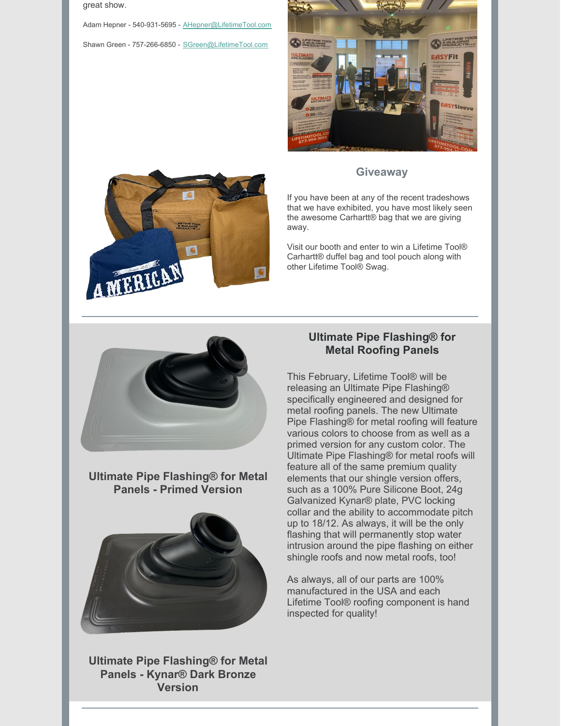great show.

Adam Hepner - 540-931-5695 - [AHepner@LifetimeTool.com](mailto:AHepner@LifetimeTool.com) Shawn Green - 757-266-6850 - [SGreen@LifetimeTool.com](mailto:SGreen@LifetimeTool.com)





### **Giveaway**

If you have been at any of the recent tradeshows that we have exhibited, you have most likely seen the awesome Carhartt® bag that we are giving away.

Visit our booth and enter to win a Lifetime Tool® Carhartt® duffel bag and tool pouch along with other Lifetime Tool® Swag.



**Ultimate Pipe Flashing® for Metal Panels - Primed Version**



**Ultimate Pipe Flashing® for Metal Panels - Kynar® Dark Bronze Version**

## **Ultimate Pipe Flashing® for Metal Roofing Panels**

This February, Lifetime Tool® will be releasing an Ultimate Pipe Flashing® specifically engineered and designed for metal roofing panels. The new Ultimate Pipe Flashing® for metal roofing will feature various colors to choose from as well as a primed version for any custom color. The Ultimate Pipe Flashing® for metal roofs will feature all of the same premium quality elements that our shingle version offers, such as a 100% Pure Silicone Boot, 24g Galvanized Kynar® plate, PVC locking collar and the ability to accommodate pitch up to 18/12. As always, it will be the only flashing that will permanently stop water intrusion around the pipe flashing on either shingle roofs and now metal roofs, too!

As always, all of our parts are 100% manufactured in the USA and each Lifetime Tool® roofing component is hand inspected for quality!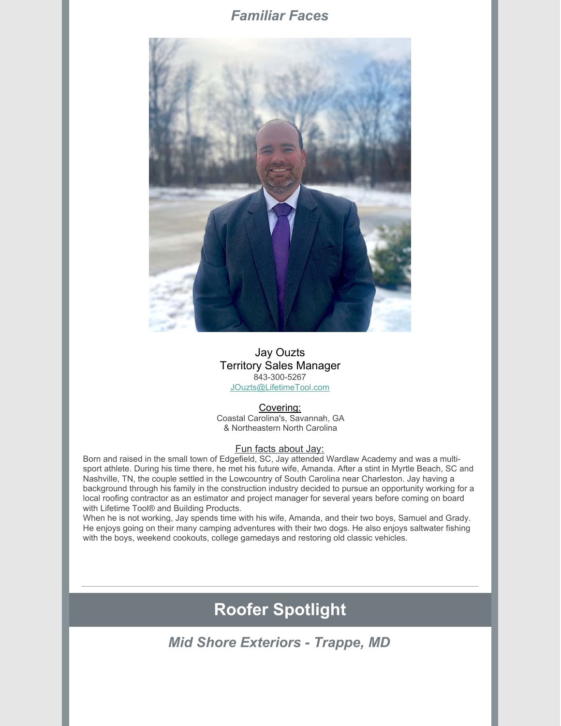## *Familiar Faces*



#### Jay Ouzts Territory Sales Manager 843-300-5267 [JOuzts@LifetimeTool.com](mailto:JOuzts@LifetimeTool.com)

#### Covering:

Coastal Carolina's, Savannah, GA & Northeastern North Carolina

#### Fun facts about Jay:

Born and raised in the small town of Edgefield, SC, Jay attended Wardlaw Academy and was a multisport athlete. During his time there, he met his future wife, Amanda. After a stint in Myrtle Beach, SC and Nashville, TN, the couple settled in the Lowcountry of South Carolina near Charleston. Jay having a background through his family in the construction industry decided to pursue an opportunity working for a local roofing contractor as an estimator and project manager for several years before coming on board with Lifetime Tool® and Building Products.

When he is not working, Jay spends time with his wife, Amanda, and their two boys, Samuel and Grady. He enjoys going on their many camping adventures with their two dogs. He also enjoys saltwater fishing with the boys, weekend cookouts, college gamedays and restoring old classic vehicles.

# **Roofer Spotlight**

*Mid Shore Exteriors - Trappe, MD*